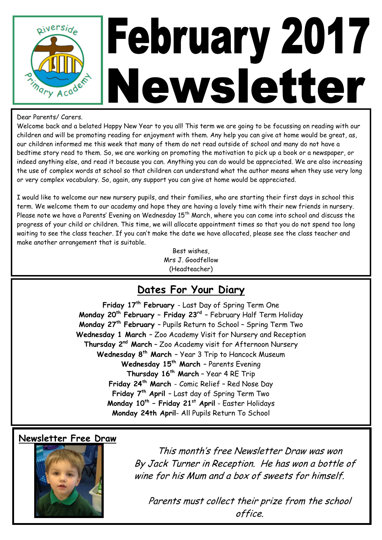

#### Dear Parents/ Carers.

Welcome back and a belated Happy New Year to you all! This term we are going to be focussing on reading with our children and will be promoting reading for enjoyment with them. Any help you can give at home would be great, as, our children informed me this week that many of them do not read outside of school and many do not have a bedtime story read to them. So, we are working on promoting the motivation to pick up a book or a newspaper, or indeed anything else, and read it because you can. Anything you can do would be appreciated. We are also increasing the use of complex words at school so that children can understand what the author means when they use very long or very complex vocabulary. So, again, any support you can give at home would be appreciated.

I would like to welcome our new nursery pupils, and their families, who are starting their first days in school this term. We welcome them to our academy and hope they are having a lovely time with their new friends in nursery. Please note we have a Parents' Evening on Wednesday 15<sup>th</sup> March, where you can come into school and discuss the progress of your child or children. This time, we will allocate appointment times so that you do not spend too long waiting to see the class teacher. If you can't make the date we have allocated, please see the class teacher and make another arrangement that is suitable.

> Best wishes, Mrs J. Goodfellow (Headteacher)

### **Dates For Your Diary**

**Friday 17th February** - Last Day of Spring Term One **Monday 20th February – Friday 23rd** – February Half Term Holiday **Monday 27th February** – Pupils Return to School – Spring Term Two **Wednesday 1 March** – Zoo Academy Visit for Nursery and Reception **Thursday 2nd March** – Zoo Academy visit for Afternoon Nursery **Wednesday 8th March** – Year 3 Trip to Hancock Museum **Wednesday 15th March** – Parents Evening **Thursday 16th March** – Year 4 RE Trip **Friday 24th March** - Comic Relief – Red Nose Day **Friday 7th April** – Last day of Spring Term Two **Monday 10th – Friday 21st April** - Easter Holidays **Monday 24th April**- All Pupils Return To School

#### **Newsletter Free Draw**



This month's free Newsletter Draw was won By Jack Turner in Reception. He has won a bottle of wine for his Mum and a box of sweets for himself.

Parents must collect their prize from the school office.